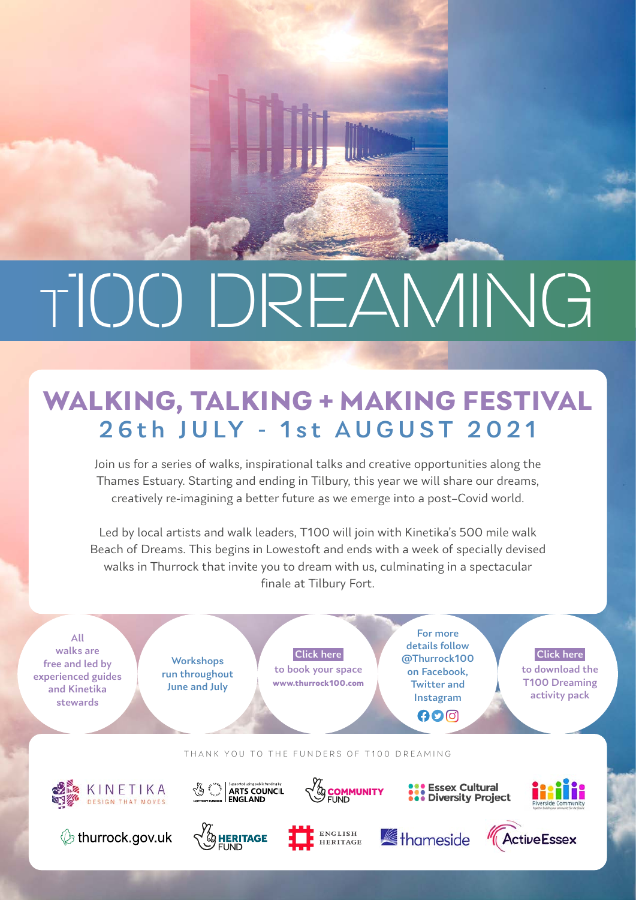# T100 DREAMING

## **WALKING, TALKING + MAKING FESTIVAL** 26th JULY - 1st AUGUST 2021

Join us for a series of walks, inspirational talks and creative opportunities along the Thames Estuary. Starting and ending in Tilbury, this year we will share our dreams, creatively re-imagining a better future as we emerge into a post–Covid world.

Led by local artists and walk leaders, T100 will join with Kinetika's 500 mile walk Beach of Dreams. This begins in Lowestoft and ends with a week of specially devised walks in Thurrock that invite you to dream with us, culminating in a spectacular finale at Tilbury Fort.

All walks are free and led by experienced guides and Kinetika stewards

**Workshops** run throughout June and July

Click here to book your space **www.thurrock100.com**

For more details follow @Thurrock100 on Facebook, Twitter and Instagram  $000$ 

Click here to download the T100 Dreaming activity pack

THANK YOU TO THE FUNDERS OF T100 DREAMING







 $\bigotimes_{\text{LOTTERY FUNDED}} \hat{\xi}^{\text{c O} \omega_{\text{c}}}_{\text{c_{\text{c}}}, \text{N} \text{c}} \left| \begin{array}{l} \text{Suppotential} \\ \text{ARTS } \text{COUNTIL} \\ \text{RRTS } \text{COUNTIL} \end{array} \right.$ 



**SOMMUNITY**<br>SPOMMUNITY



**SASE Essex Cultural<br>
Case Diversity Project**